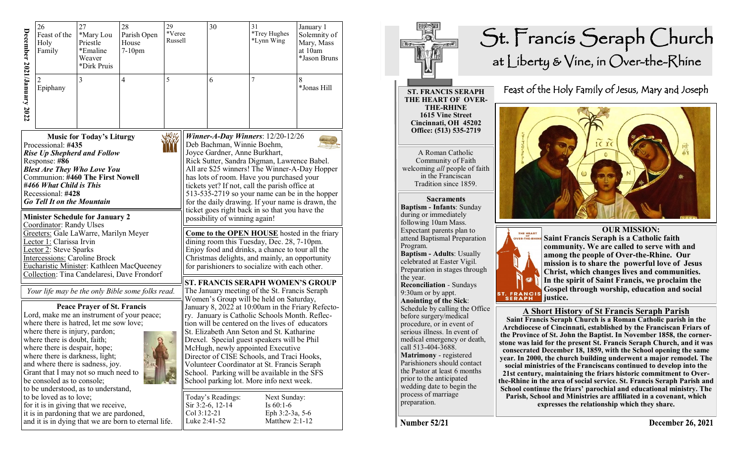|                                                                                                                                                                                                                                                                                                                               | 26<br>Feast of the<br>Holy<br>Family    | 27<br>*Mary Lou<br>Priestle<br>*Emaline<br>Weaver<br>*Dirk Pruis | 28<br>Parish Open<br>House<br>$7-10$ pm | 29<br>*Veree<br>Russell |                                                                                                                                                                                                                                                                                                                                                                                                                                                                                           | 30 | 31<br>*Trey Hughes<br>*Lynn Wing | January 1<br>Solemnity of<br>Mary, Mass<br>at 10am<br>*Jason Bruns |
|-------------------------------------------------------------------------------------------------------------------------------------------------------------------------------------------------------------------------------------------------------------------------------------------------------------------------------|-----------------------------------------|------------------------------------------------------------------|-----------------------------------------|-------------------------|-------------------------------------------------------------------------------------------------------------------------------------------------------------------------------------------------------------------------------------------------------------------------------------------------------------------------------------------------------------------------------------------------------------------------------------------------------------------------------------------|----|----------------------------------|--------------------------------------------------------------------|
| December 2021/January 2022                                                                                                                                                                                                                                                                                                    | $\mathcal{D}_{\mathcal{L}}$<br>Epiphany | 3                                                                | $\overline{4}$                          | 5                       |                                                                                                                                                                                                                                                                                                                                                                                                                                                                                           | 6  | $\overline{7}$                   | 8<br>*Jonas Hill                                                   |
| <b>Music for Today's Liturgy</b><br>Processional: #435<br><b>Rise Up Shepherd and Follow</b><br>Response: #86<br><b>Blest Are They Who Love You</b><br><b>Communion: #460 The First Nowell</b><br>#466 What Child is This<br>Recessional: #428<br><b>Go Tell It on the Mountain</b><br><b>Minister Schedule for January 2</b> |                                         |                                                                  |                                         |                         | Winner-A-Day Winners: 12/20-12/26<br>Deb Bachman, Winnie Boehm,<br>Joyce Gardner, Anne Burkhart,<br>Rick Sutter, Sandra Digman, Lawrence Babel.<br>All are \$25 winners! The Winner-A-Day Hopper<br>has lots of room. Have you purchased your<br>tickets yet? If not, call the parish office at<br>513-535-2719 so your name can be in the hopper<br>for the daily drawing. If your name is drawn, the<br>ticket goes right back in so that you have the<br>possibility of winning again! |    |                                  |                                                                    |
| Coordinator: Randy Ulses<br>Greeters: Gale LaWarre, Marilyn Meyer<br>Lector 1: Clarissa Irvin<br>Lector 2: Steve Sparks<br>Intercessions: Caroline Brock<br>Eucharistic Minister: Kathleen MacQueeney<br>Collection: Tina Candelaresi, Dave Frondorf                                                                          |                                         |                                                                  |                                         |                         | Come to the OPEN HOUSE hosted in the friary<br>dining room this Tuesday, Dec. 28, 7-10pm.<br>Enjoy food and drinks, a chance to tour all the<br>Christmas delights, and mainly, an opportunity<br>for parishioners to socialize with each other.                                                                                                                                                                                                                                          |    |                                  |                                                                    |

## **Minister Schedule for January 2** Coordinator: Randy Ulses Greeters: Gale LaWarre, Marilyn Meyer Lector 1: Clarissa Irvin Lector 2: Steve Sparks Intercessions: Caroline Brock Eucharistic Minister: Kathleen MacQueeney<br>Collection: Tina Candelaresi, Dave Frondorf

*Your life may be the only Bible some folks read.*

**Peace Prayer of St. Francis** Lord, make me an instrument of your peace; where there is hatred, let me sow love; where there is injury, pardon; where there is doubt, faith; where there is despair, hope; where there is darkness, light; and where there is sadness, joy. Grant that I may not so much need to be consoled as to console; to be understood, as to understand, to be loved as to love; for it is in giving that we receive, it is in pardoning that we are pardoned, and it is in dying that we are born to eternal life.



## St. Francis Seraph Church at Liberty & Vine, in Over-the-Rhine

**ST. FRANCIS SERAPH THE HEART OF OVER-THE-RHINE 1615 Vine Street Cincinnati, OH 45202 Office: (513) 535-2719** 

A Roman Catholic Community of Faith welcoming *all* people of faith in the Franciscan Tradition since 1859.

**Sacraments Baptism - Infants**: Sunday during or immediately following 10am Mass. Expectant parents plan to attend Baptismal Preparation Program. **Baptism - Adults**: Usually

celebrated at Easter Vigil. Preparation in stages through the year. **Reconciliation** - Sundays 9:30am or by appt.

**Anointing of the Sick**: Schedule by calling the Office before surgery/medical procedure, or in event of serious illness. In event of medical emergency or death, call 513-404-3688. **Matrimony** - registered Parishioners should contact the Pastor at least 6 months prior to the anticipated wedding date to begin the process of marriage preparation.

Feast of the Holy Family of Jesus, Mary and Joseph





 **OUR MISSION: Saint Francis Seraph is a Catholic faith community. We are called to serve with and among the people of Over-the-Rhine. Our mission is to share the powerful love of Jesus Christ, which changes lives and communities. In the spirit of Saint Francis, we proclaim the Gospel through worship, education and social justice.**

## **A Short History of St Francis Seraph Parish**

**Saint Francis Seraph Church is a Roman Catholic parish in the Archdiocese of Cincinnati, established by the Franciscan Friars of the Province of St. John the Baptist. In November 1858, the cornerstone was laid for the present St. Francis Seraph Church, and it was consecrated December 18, 1859, with the School opening the same year. In 2000, the church building underwent a major remodel. The social ministries of the Franciscans continued to develop into the 21st century, maintaining the friars historic commitment to Overthe-Rhine in the area of social service. St. Francis Seraph Parish and School continue the friars' parochial and educational ministry. The Parish, School and Ministries are affiliated in a covenant, which expresses the relationship which they share.** 

**Number 52/21**